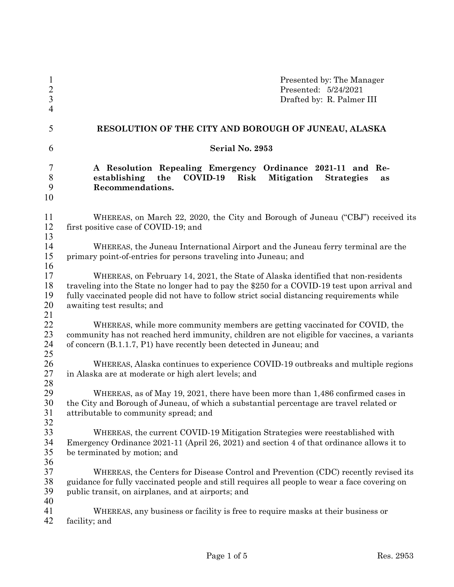| $\mathbf{l}$<br>$\overline{c}$<br>$\overline{3}$<br>$\overline{4}$ | Presented by: The Manager<br>Presented: 5/24/2021<br>Drafted by: R. Palmer III                                                                                                                                                                                                                               |  |  |  |  |  |
|--------------------------------------------------------------------|--------------------------------------------------------------------------------------------------------------------------------------------------------------------------------------------------------------------------------------------------------------------------------------------------------------|--|--|--|--|--|
| 5                                                                  | RESOLUTION OF THE CITY AND BOROUGH OF JUNEAU, ALASKA                                                                                                                                                                                                                                                         |  |  |  |  |  |
| 6                                                                  | Serial No. 2953                                                                                                                                                                                                                                                                                              |  |  |  |  |  |
| 7<br>$8\,$<br>9<br>10                                              | A Resolution Repealing Emergency Ordinance 2021-11 and Re-<br>the<br>COVID-19<br>establishing<br>Risk<br>Mitigation<br><b>Strategies</b><br>as<br>Recommendations.                                                                                                                                           |  |  |  |  |  |
| 11<br>12<br>13                                                     | WHEREAS, on March 22, 2020, the City and Borough of Juneau ("CBJ") received its<br>first positive case of COVID-19; and                                                                                                                                                                                      |  |  |  |  |  |
| 14<br>15<br>16                                                     | WHEREAS, the Juneau International Airport and the Juneau ferry terminal are the<br>primary point-of-entries for persons traveling into Juneau; and                                                                                                                                                           |  |  |  |  |  |
| 17<br>18<br>19<br>20<br>21                                         | WHEREAS, on February 14, 2021, the State of Alaska identified that non-residents<br>traveling into the State no longer had to pay the \$250 for a COVID-19 test upon arrival and<br>fully vaccinated people did not have to follow strict social distancing requirements while<br>awaiting test results; and |  |  |  |  |  |
| 22<br>23<br>24<br>25                                               | WHEREAS, while more community members are getting vaccinated for COVID, the<br>community has not reached herd immunity, children are not eligible for vaccines, a variants<br>of concern (B.1.1.7, P1) have recently been detected in Juneau; and                                                            |  |  |  |  |  |
| 26<br>27<br>28                                                     | WHEREAS, Alaska continues to experience COVID-19 outbreaks and multiple regions<br>in Alaska are at moderate or high alert levels; and                                                                                                                                                                       |  |  |  |  |  |
| 29<br>30<br>31<br>32                                               | WHEREAS, as of May 19, 2021, there have been more than 1,486 confirmed cases in<br>the City and Borough of Juneau, of which a substantial percentage are travel related or<br>attributable to community spread; and                                                                                          |  |  |  |  |  |
| 33<br>34<br>35<br>36                                               | WHEREAS, the current COVID-19 Mitigation Strategies were reestablished with<br>Emergency Ordinance 2021-11 (April 26, 2021) and section 4 of that ordinance allows it to<br>be terminated by motion; and                                                                                                     |  |  |  |  |  |
| 37<br>38<br>39                                                     | WHEREAS, the Centers for Disease Control and Prevention (CDC) recently revised its<br>guidance for fully vaccinated people and still requires all people to wear a face covering on<br>public transit, on airplanes, and at airports; and                                                                    |  |  |  |  |  |
| 40<br>41<br>42                                                     | WHEREAS, any business or facility is free to require masks at their business or<br>facility; and                                                                                                                                                                                                             |  |  |  |  |  |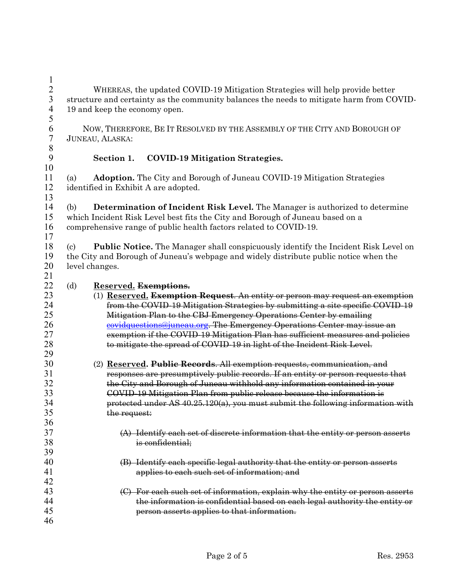$\frac{1}{2}$ 2 WHEREAS, the updated COVID-19 Mitigation Strategies will help provide better<br>3 structure and certainty as the community balances the needs to mitigate harm from CC structure and certainty as the community balances the needs to mitigate harm from COVID-19 and keep the economy open. 

6 NOW, THEREFORE, BE IT RESOLVED BY THE ASSEMBLY OF THE CITY AND BOROUGH OF JUNEAU, ALASKA: JUNEAU, ALASKA:

## 8<br>9

## **Section 1. COVID-19 Mitigation Strategies.**

(a) **Adoption.** The City and Borough of Juneau COVID-19 Mitigation Strategies identified in Exhibit A are adopted. 

(b) **Determination of Incident Risk Level.** The Manager is authorized to determine which Incident Risk Level best fits the City and Borough of Juneau based on a comprehensive range of public health factors related to COVID-19.

(c) **Public Notice.** The Manager shall conspicuously identify the Incident Risk Level on 19 the City and Borough of Juneau's webpage and widely distribute public notice when the level changes. level changes.

## (d) **Reserved. Exemptions.**

| 23 | (1) Reserved. Exemption Request. An entity or person may request an exemption    |
|----|----------------------------------------------------------------------------------|
| 24 | from the COVID-19 Mitigation Strategies by submitting a site specific COVID-19   |
| 25 | Mitigation Plan to the CBJ Emergency Operations Center by emailing               |
| 26 | covidquestions@juneau.org. The Emergency Operations Center may issue an          |
| 27 | exemption if the COVID-19 Mitigation Plan has sufficient measures and policies   |
| 28 | to mitigate the spread of COVID-19 in light of the Incident Risk Level.          |
| 29 |                                                                                  |
| 30 | (2) Reserved. Public Records. All exemption requests, communication, and         |
| 31 | responses are presumptively public records. If an entity or person requests that |
| 32 | the City and Borough of Juneau withhold any information contained in your        |
| 33 | COVID-19 Mitigation Plan from public release because the information is          |
| 34 | protected under AS 40.25.120(a), you must submit the following information with  |
| 35 | the request:                                                                     |
| 36 |                                                                                  |
| 37 | (A) Identify each set of discrete information that the entity or person asserts  |
| 38 | is confidential;                                                                 |
| 39 |                                                                                  |
| 40 | (B) Identify each specific legal authority that the entity or person asserts     |
| 41 | applies to each such set of information; and                                     |
| 42 |                                                                                  |
| 43 | For each such set of information, explain why the entity or person asserts       |
| 44 | the information is confidential based on each legal authority the entity or      |
| 45 | person asserts applies to that information.                                      |
| 46 |                                                                                  |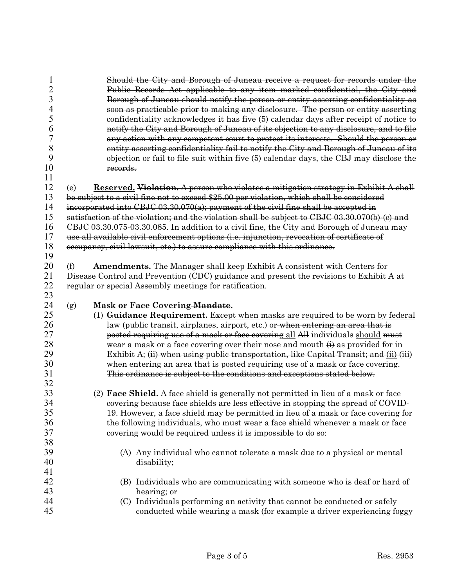| $\mathbf{1}$   | Should the City and Borough of Juneau receive a request for records under the                  |
|----------------|------------------------------------------------------------------------------------------------|
| $\overline{2}$ | Public Records Act applicable to any item marked confidential, the City and                    |
| 3              | Borough of Juneau should notify the person or entity asserting confidentiality as              |
| 4              | soon as practicable prior to making any disclosure. The person or entity asserting             |
| 5              | confidentiality acknowledges it has five (5) calendar days after receipt of notice to          |
| 6              | notify the City and Borough of Juneau of its objection to any disclosure, and to file          |
| $\overline{7}$ | any action with any competent court to protect its interests. Should the person or             |
| 8              | entity asserting confidentiality fail to notify the City and Borough of Juneau of its          |
| 9              | objection or fail to file suit within five (5) calendar days, the CBJ may disclose the         |
| 10             | records.                                                                                       |
| 11             |                                                                                                |
| 12             | Reserved. Violation. A person who violates a mitigation strategy in Exhibit A shall<br>(e)     |
| 13             | be subject to a civil fine not to exceed \$25.00 per violation, which shall be considered      |
| 14             | incorporated into CBJC 03.30.070(a); payment of the civil fine shall be accepted in            |
| 15             |                                                                                                |
|                | satisfaction of the violation; and the violation shall be subject to CBJC 03.30.070(b)-(c) and |
| 16             | CBJC 03.30.075-03.30.085. In addition to a civil fine, the City and Borough of Juneau may      |
| 17             | use all available civil enforcement options (i.e. injunction, revocation of certificate of     |
| 18             | occupancy, civil lawsuit, etc.) to assure compliance with this ordinance.                      |
| 19             |                                                                                                |
| 20             | <b>Amendments.</b> The Manager shall keep Exhibit A consistent with Centers for<br>(f)         |
| 21             | Disease Control and Prevention (CDC) guidance and present the revisions to Exhibit A at        |
| 22             | regular or special Assembly meetings for ratification.                                         |
| 23             |                                                                                                |
| 24             | Mask or Face Covering-Mandate.<br>(g)                                                          |
| 25             | (1) Guidance Requirement. Except when masks are required to be worn by federal                 |
| 26             | <u>law</u> (public transit, airplanes, airport, etc.) or when entering an area that is         |
| 27             | posted requiring use of a mask or face covering all All individuals should must                |
| 28             | wear a mask or a face covering over their nose and mouth $\leftrightarrow$ as provided for in  |
| 29             | Exhibit A; (ii) when using public transportation, like Capital Transit; and (ii) (iii)         |
| 30             | when entering an area that is posted requiring use of a mask or face covering.                 |
| 31             | This ordinance is subject to the conditions and exceptions stated below.                       |
| 32             |                                                                                                |
| 33             | (2) <b>Face Shield.</b> A face shield is generally not permitted in lieu of a mask or face     |
| 34             | covering because face shields are less effective in stopping the spread of COVID-              |
| 35             | 19. However, a face shield may be permitted in lieu of a mask or face covering for             |
| 36             | the following individuals, who must wear a face shield whenever a mask or face                 |
| 37             | covering would be required unless it is impossible to do so:                                   |
| 38             |                                                                                                |
| 39             | (A) Any individual who cannot tolerate a mask due to a physical or mental                      |
| 40             | disability;                                                                                    |
| 41             |                                                                                                |
| 42             | (B) Individuals who are communicating with someone who is deaf or hard of                      |
| 43             | hearing; or                                                                                    |
| 44             | (C) Individuals performing an activity that cannot be conducted or safely                      |
| 45             | conducted while wearing a mask (for example a driver experiencing foggy                        |
|                |                                                                                                |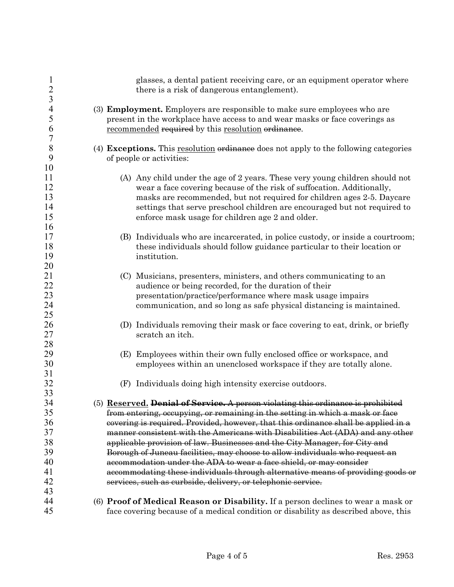| $\mathbf{1}$<br>$\overline{c}$ | glasses, a dental patient receiving care, or an equipment operator where<br>there is a risk of dangerous entanglement). |  |  |  |  |
|--------------------------------|-------------------------------------------------------------------------------------------------------------------------|--|--|--|--|
| 3                              |                                                                                                                         |  |  |  |  |
| $\overline{4}$                 | (3) <b>Employment.</b> Employers are responsible to make sure employees who are                                         |  |  |  |  |
| 5                              | present in the workplace have access to and wear masks or face coverings as                                             |  |  |  |  |
| 6                              | recommended required by this resolution ordinance.                                                                      |  |  |  |  |
| $\sqrt{ }$                     |                                                                                                                         |  |  |  |  |
| 8                              | (4) Exceptions. This resolution ordinance does not apply to the following categories                                    |  |  |  |  |
| 9                              | of people or activities:                                                                                                |  |  |  |  |
| 10                             |                                                                                                                         |  |  |  |  |
| 11                             | (A) Any child under the age of 2 years. These very young children should not                                            |  |  |  |  |
| 12                             | wear a face covering because of the risk of suffocation. Additionally,                                                  |  |  |  |  |
| 13                             | masks are recommended, but not required for children ages 2-5. Daycare                                                  |  |  |  |  |
| 14                             | settings that serve preschool children are encouraged but not required to                                               |  |  |  |  |
| 15                             | enforce mask usage for children age 2 and older.                                                                        |  |  |  |  |
| 16                             |                                                                                                                         |  |  |  |  |
| 17                             | (B) Individuals who are incarcerated, in police custody, or inside a courtroom;                                         |  |  |  |  |
| 18                             | these individuals should follow guidance particular to their location or                                                |  |  |  |  |
| 19                             | institution.                                                                                                            |  |  |  |  |
| 20                             |                                                                                                                         |  |  |  |  |
| 21                             | (C) Musicians, presenters, ministers, and others communicating to an                                                    |  |  |  |  |
| 22                             | audience or being recorded, for the duration of their                                                                   |  |  |  |  |
| 23                             | presentation/practice/performance where mask usage impairs                                                              |  |  |  |  |
| 24                             | communication, and so long as safe physical distancing is maintained.                                                   |  |  |  |  |
| 25                             |                                                                                                                         |  |  |  |  |
| 26                             | (D) Individuals removing their mask or face covering to eat, drink, or briefly                                          |  |  |  |  |
| 27                             | scratch an itch.                                                                                                        |  |  |  |  |
| 28                             |                                                                                                                         |  |  |  |  |
| 29                             | (E) Employees within their own fully enclosed office or workspace, and                                                  |  |  |  |  |
| 30                             | employees within an unenclosed workspace if they are totally alone.                                                     |  |  |  |  |
| 31                             |                                                                                                                         |  |  |  |  |
| 32                             | (F) Individuals doing high intensity exercise outdoors.                                                                 |  |  |  |  |
| 33                             |                                                                                                                         |  |  |  |  |
| 34                             | (5) Reserved. Denial of Service. A person violating this ordinance is prohibited                                        |  |  |  |  |
| 35                             | from entering, occupying, or remaining in the setting in which a mask or face                                           |  |  |  |  |
| 36                             | covering is required. Provided, however, that this ordinance shall be applied in a                                      |  |  |  |  |
| 37                             | manner consistent with the Americans with Disabilities Act (ADA) and any other                                          |  |  |  |  |
| 38                             | applicable provision of law. Businesses and the City Manager, for City and                                              |  |  |  |  |
| 39                             |                                                                                                                         |  |  |  |  |
| 40                             | Borough of Juneau facilities, may choose to allow individuals who request an                                            |  |  |  |  |
| 41                             | accommodation under the ADA to wear a face shield, or may consider                                                      |  |  |  |  |
| 42                             | accommodating these individuals through alternative means of providing goods or                                         |  |  |  |  |
|                                | services, such as curbside, delivery, or telephonic service.                                                            |  |  |  |  |
| 43                             |                                                                                                                         |  |  |  |  |
| 44                             | (6) Proof of Medical Reason or Disability. If a person declines to wear a mask or                                       |  |  |  |  |
| 45                             | face covering because of a medical condition or disability as described above, this                                     |  |  |  |  |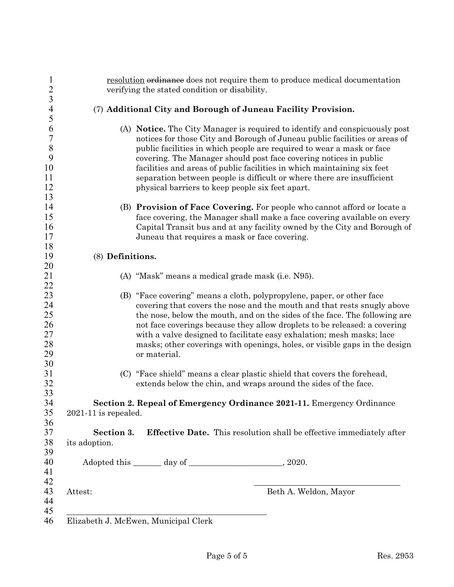| resolution ordinance does not require them to produce medical documentation<br>verifying the stated condition or disability. |                                                                                                                                                     |  |  |  |
|------------------------------------------------------------------------------------------------------------------------------|-----------------------------------------------------------------------------------------------------------------------------------------------------|--|--|--|
|                                                                                                                              |                                                                                                                                                     |  |  |  |
|                                                                                                                              | (7) Additional City and Borough of Juneau Facility Provision.                                                                                       |  |  |  |
|                                                                                                                              | (A) Notice. The City Manager is required to identify and conspicuously post                                                                         |  |  |  |
|                                                                                                                              | notices for those City and Borough of Juneau public facilities or areas of<br>public facilities in which people are required to wear a mask or face |  |  |  |
|                                                                                                                              | covering. The Manager should post face covering notices in public                                                                                   |  |  |  |
|                                                                                                                              | facilities and areas of public facilities in which maintaining six feet                                                                             |  |  |  |
|                                                                                                                              | separation between people is difficult or where there are insufficient                                                                              |  |  |  |
|                                                                                                                              | physical barriers to keep people six feet apart.                                                                                                    |  |  |  |
|                                                                                                                              |                                                                                                                                                     |  |  |  |
|                                                                                                                              | (B) Provision of Face Covering. For people who cannot afford or locate a                                                                            |  |  |  |
|                                                                                                                              | face covering, the Manager shall make a face covering available on every                                                                            |  |  |  |
|                                                                                                                              | Capital Transit bus and at any facility owned by the City and Borough of                                                                            |  |  |  |
|                                                                                                                              | Juneau that requires a mask or face covering.                                                                                                       |  |  |  |
| (8) Definitions.                                                                                                             |                                                                                                                                                     |  |  |  |
|                                                                                                                              |                                                                                                                                                     |  |  |  |
|                                                                                                                              | (A) "Mask" means a medical grade mask (i.e. N95).                                                                                                   |  |  |  |
|                                                                                                                              |                                                                                                                                                     |  |  |  |
|                                                                                                                              | (B) "Face covering" means a cloth, polypropylene, paper, or other face                                                                              |  |  |  |
|                                                                                                                              | covering that covers the nose and the mouth and that rests snugly above                                                                             |  |  |  |
|                                                                                                                              | the nose, below the mouth, and on the sides of the face. The following are                                                                          |  |  |  |
|                                                                                                                              | not face coverings because they allow droplets to be released: a covering                                                                           |  |  |  |
|                                                                                                                              | with a valve designed to facilitate easy exhalation; mesh masks; lace                                                                               |  |  |  |
|                                                                                                                              | masks; other coverings with openings, holes, or visible gaps in the design<br>or material.                                                          |  |  |  |
|                                                                                                                              |                                                                                                                                                     |  |  |  |
|                                                                                                                              | (C) "Face shield" means a clear plastic shield that covers the forehead,                                                                            |  |  |  |
|                                                                                                                              | extends below the chin, and wraps around the sides of the face.                                                                                     |  |  |  |
|                                                                                                                              | Section 2. Repeal of Emergency Ordinance 2021-11. Emergency Ordinance                                                                               |  |  |  |
| 2021-11 is repealed.                                                                                                         |                                                                                                                                                     |  |  |  |
| Section 3.                                                                                                                   | <b>Effective Date.</b> This resolution shall be effective immediately after                                                                         |  |  |  |
| its adoption.                                                                                                                |                                                                                                                                                     |  |  |  |
|                                                                                                                              |                                                                                                                                                     |  |  |  |
|                                                                                                                              |                                                                                                                                                     |  |  |  |
| Attest:                                                                                                                      | Beth A. Weldon, Mayor                                                                                                                               |  |  |  |
|                                                                                                                              |                                                                                                                                                     |  |  |  |
|                                                                                                                              |                                                                                                                                                     |  |  |  |
|                                                                                                                              | Elizabeth J. McEwen, Municipal Clerk                                                                                                                |  |  |  |